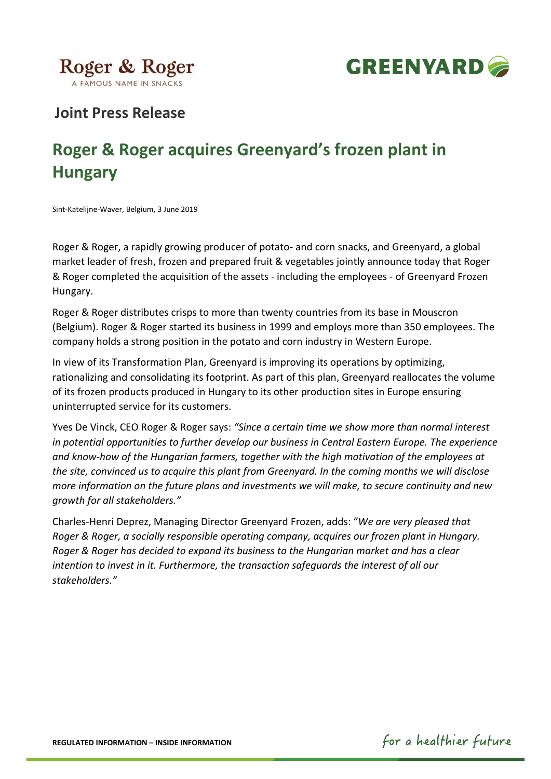



# **Joint Press Release**

# **Roger & Roger acquires Greenyard's frozen plant in Hungary**

Sint-Katelijne-Waver, Belgium, 3 June 2019

Roger & Roger, a rapidly growing producer of potato- and corn snacks, and Greenyard, a global market leader of fresh, frozen and prepared fruit & vegetables jointly announce today that Roger & Roger completed the acquisition of the assets - including the employees - of Greenyard Frozen Hungary.

Roger & Roger distributes crisps to more than twenty countries from its base in Mouscron (Belgium). Roger & Roger started its business in 1999 and employs more than 350 employees. The company holds a strong position in the potato and corn industry in Western Europe.

In view of its Transformation Plan, Greenyard is improving its operations by optimizing, rationalizing and consolidating its footprint. As part of this plan, Greenyard reallocates the volume of its frozen products produced in Hungary to its other production sites in Europe ensuring uninterrupted service for its customers.

Yves De Vinck, CEO Roger & Roger says: *"Since a certain time we show more than normal interest in potential opportunities to further develop our business in Central Eastern Europe. The experience and know-how of the Hungarian farmers, together with the high motivation of the employees at the site, convinced us to acquire this plant from Greenyard. In the coming months we will disclose more information on the future plans and investments we will make, to secure continuity and new growth for all stakeholders."*

Charles-Henri Deprez, Managing Director Greenyard Frozen, adds: "*We are very pleased that Roger & Roger, a socially responsible operating company, acquires our frozen plant in Hungary. Roger & Roger has decided to expand its business to the Hungarian market and has a clear intention to invest in it. Furthermore, the transaction safeguards the interest of all our stakeholders."*

for a healthier future